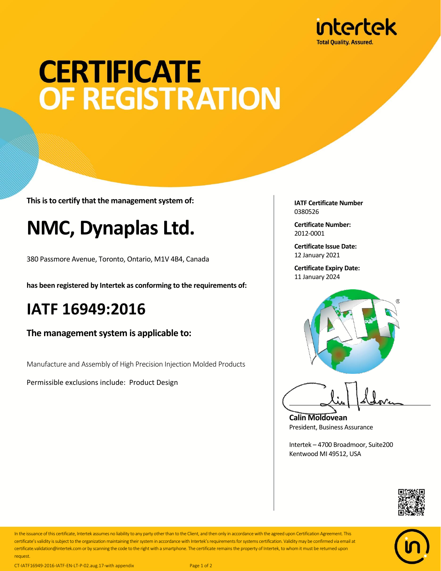

# **CERTIFICATE** OF REGISTRATION

**This is to certify that the management system of:**

## **NMC, Dynaplas Ltd.**

380 Passmore Avenue, Toronto, Ontario, M1V 4B4, Canada

**has been registered by Intertek as conforming to the requirements of:**

#### **IATF 16949:2016**

**The management system is applicable to:**

Manufacture and Assembly of High Precision Injection Molded Products

Permissible exclusions include: Product Design

**IATF Certificate Number** 0380526

**Certificate Number:** 2012-0001

**Certificate Issue Date:** 12 January 2021

**Certificate Expiry Date:** 11 January 2024



**Calin Moldovean** President, Business Assurance

Intertek – 4700 Broadmoor, Suite200 Kentwood MI 49512, USA





In the issuance of this certificate, Intertek assumes no liability to any party other than to the Client, and then only in accordance with the agreed upon Certification Agreement. This certificate's validity is subject to the organization maintaining their system in accordance with Intertek's requirements for systems certification. Validity may be confirmed via email at certificate.validation@intertek.com or by scanning the code to the right with a smartphone. The certificate remains the property of Intertek, to whom it must be returned upon request.